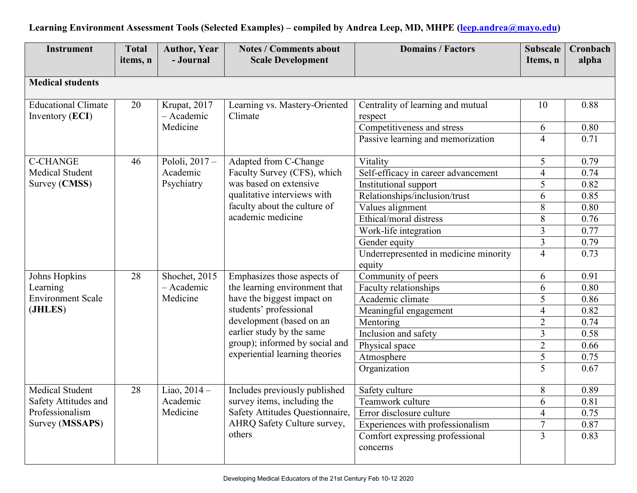| <b>Instrument</b>          | <b>Total</b><br>items, n | <b>Author, Year</b><br>- Journal | <b>Notes / Comments about</b><br><b>Scale Development</b>        | <b>Domains / Factors</b>              | <b>Subscale</b> | Cronbach<br>alpha |
|----------------------------|--------------------------|----------------------------------|------------------------------------------------------------------|---------------------------------------|-----------------|-------------------|
|                            |                          |                                  |                                                                  |                                       | Items, n        |                   |
| <b>Medical students</b>    |                          |                                  |                                                                  |                                       |                 |                   |
|                            |                          |                                  |                                                                  |                                       |                 |                   |
| <b>Educational Climate</b> | 20                       | Krupat, 2017                     | Learning vs. Mastery-Oriented                                    | Centrality of learning and mutual     | 10              | 0.88              |
| Inventory (ECI)            |                          | - Academic                       | Climate                                                          | respect                               |                 |                   |
|                            |                          | Medicine                         |                                                                  | Competitiveness and stress            | 6               | 0.80              |
|                            |                          |                                  |                                                                  | Passive learning and memorization     | $\overline{4}$  | 0.71              |
| <b>C-CHANGE</b>            | 46                       | Pololi, 2017 -                   | Adapted from C-Change                                            | Vitality                              | 5               | 0.79              |
| Medical Student            |                          | Academic                         | Faculty Survey (CFS), which                                      | Self-efficacy in career advancement   | $\overline{4}$  | 0.74              |
| Survey (CMSS)              |                          | Psychiatry                       | was based on extensive                                           | Institutional support                 | $\overline{5}$  | 0.82              |
|                            |                          |                                  | qualitative interviews with                                      | Relationships/inclusion/trust         | 6               | 0.85              |
|                            |                          |                                  | faculty about the culture of                                     | Values alignment                      | 8               | 0.80              |
|                            |                          |                                  | academic medicine                                                | Ethical/moral distress                | 8               | 0.76              |
|                            |                          |                                  |                                                                  | Work-life integration                 | 3               | 0.77              |
|                            |                          |                                  |                                                                  | Gender equity                         | $\overline{3}$  | 0.79              |
|                            |                          |                                  |                                                                  | Underrepresented in medicine minority | $\overline{4}$  | 0.73              |
|                            |                          |                                  |                                                                  | equity                                |                 |                   |
| Johns Hopkins              | 28                       | Shochet, 2015                    | Emphasizes those aspects of                                      | Community of peers                    | 6               | 0.91              |
| Learning                   |                          | - Academic                       | the learning environment that                                    | Faculty relationships                 | 6               | 0.80              |
| <b>Environment Scale</b>   |                          | Medicine                         | have the biggest impact on                                       | Academic climate                      | 5               | 0.86              |
| (JHLES)                    |                          |                                  | students' professional                                           | Meaningful engagement                 | $\overline{4}$  | 0.82              |
|                            |                          |                                  | development (based on an                                         | Mentoring                             | $\overline{2}$  | 0.74              |
|                            |                          |                                  | earlier study by the same                                        | Inclusion and safety                  | 3               | 0.58              |
|                            |                          |                                  | group); informed by social and<br>experiential learning theories | Physical space                        | $\overline{2}$  | 0.66              |
|                            |                          |                                  |                                                                  | Atmosphere                            | $\overline{5}$  | 0.75              |
|                            |                          |                                  |                                                                  | Organization                          | $\overline{5}$  | 0.67              |
| Medical Student            | 28                       | Liao, 2014 -                     | Includes previously published                                    | Safety culture                        | 8               | 0.89              |
| Safety Attitudes and       |                          | Academic                         | survey items, including the                                      | Teamwork culture                      | 6               | 0.81              |
| Professionalism            |                          | Medicine                         | Safety Attitudes Questionnaire,                                  | Error disclosure culture              | $\overline{4}$  | 0.75              |
| Survey (MSSAPS)            |                          |                                  | AHRQ Safety Culture survey,                                      | Experiences with professionalism      | $\overline{7}$  | 0.87              |
|                            |                          |                                  | others                                                           | Comfort expressing professional       | $\overline{3}$  | 0.83              |
|                            |                          |                                  |                                                                  | concerns                              |                 |                   |
|                            |                          |                                  |                                                                  |                                       |                 |                   |

## **Learning Environment Assessment Tools (Selected Examples) – compiled by Andrea Leep, MD, MHPE [\(leep.andrea@mayo.edu\)](mailto:leep.andrea@mayo.edu)**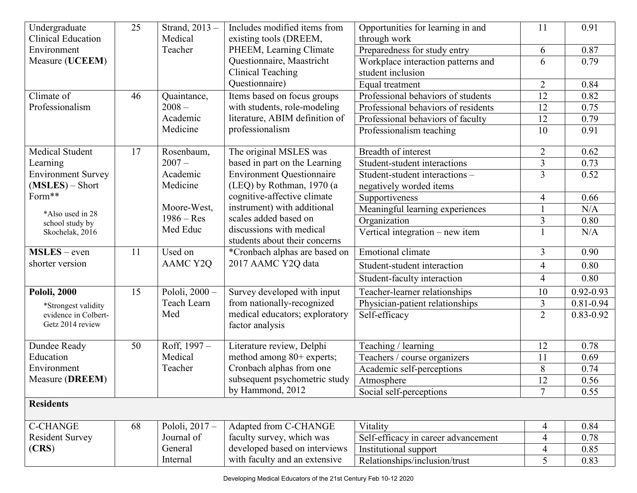| Undergraduate             | 25 | Strand, 2013 -   | Includes modified items from           | Opportunities for learning in and   | 11                       | 0.91          |
|---------------------------|----|------------------|----------------------------------------|-------------------------------------|--------------------------|---------------|
| <b>Clinical Education</b> |    | Medical          | existing tools (DREEM,<br>through work |                                     |                          |               |
| Environment               |    | Teacher          | PHEEM, Learning Climate                | Preparedness for study entry        | 6                        | 0.87          |
| Measure (UCEEM)           |    |                  | Questionnaire, Maastricht              | Workplace interaction patterns and  | 6                        | 0.79          |
|                           |    |                  | <b>Clinical Teaching</b>               | student inclusion                   |                          |               |
|                           |    |                  | Questionnaire)                         | Equal treatment                     | $\overline{2}$           | 0.84          |
| Climate of                | 46 | Quaintance,      | Items based on focus groups            | Professional behaviors of students  | 12                       | 0.82          |
| Professionalism           |    | $2008 -$         | with students, role-modeling           | Professional behaviors of residents | 12                       | 0.75          |
|                           |    | Academic         | literature, ABIM definition of         | Professional behaviors of faculty   | 12                       | 0.79          |
|                           |    | Medicine         | professionalism                        | Professionalism teaching            | 10                       | 0.91          |
| Medical Student           | 17 | Rosenbaum,       | The original MSLES was                 | Breadth of interest                 | $\overline{2}$           | 0.62          |
| Learning                  |    | $2007 -$         | based in part on the Learning          | Student-student interactions        | $\overline{3}$           | 0.73          |
| <b>Environment Survey</b> |    | Academic         | <b>Environment Questionnaire</b>       | Student-student interactions -      | $\overline{3}$           | 0.52          |
| $(MSLES) - Short$         |    | Medicine         | (LEQ) by Rothman, 1970 (a              | negatively worded items             |                          |               |
| Form**                    |    |                  | cognitive-affective climate            | Supportiveness                      | $\overline{4}$           | 0.66          |
| *Also used in 28          |    | Moore-West,      | instrument) with additional            | Meaningful learning experiences     | 1                        | N/A           |
| school study by           |    | $1986 - Res$     | scales added based on                  | Organization                        | 3                        | 0.80          |
| Skochelak, 2016           |    | Med Educ         | discussions with medical               | Vertical integration - new item     | $\mathbf{1}$             | N/A           |
|                           |    |                  | students about their concerns          |                                     |                          |               |
| $MSLES - even$            | 11 | Used on          | *Cronbach alphas are based on          | <b>Emotional climate</b>            | $\overline{3}$           | 0.90          |
| shorter version           |    | AAMC Y2Q         | 2017 AAMC Y2Q data                     | Student-student interaction         | 4                        | 0.80          |
|                           |    |                  |                                        | Student-faculty interaction         | $\overline{4}$           | 0.80          |
| <b>Pololi, 2000</b>       | 15 | Pololi, 2000 -   | Survey developed with input            | Teacher-learner relationships       | 10                       | $0.92 - 0.93$ |
| *Strongest validity       |    | Teach Learn      | from nationally-recognized             | Physician-patient relationships     | 3                        | $0.81 - 0.94$ |
| evidence in Colbert-      |    | Med              | medical educators; exploratory         | Self-efficacy                       | $\overline{2}$           | $0.83 - 0.92$ |
| Getz 2014 review          |    |                  | factor analysis                        |                                     |                          |               |
| Dundee Ready              | 50 | Roff, 1997 -     | Literature review, Delphi              | Teaching / learning                 | 12                       | 0.78          |
| Education                 |    | Medical          | method among 80+ experts;              | Teachers / course organizers        | 11                       | 0.69          |
| Environment               |    | Teacher          | Cronbach alphas from one               | Academic self-perceptions           | 8                        | 0.74          |
| Measure (DREEM)           |    |                  | subsequent psychometric study          | Atmosphere                          | 12                       | 0.56          |
|                           |    |                  | by Hammond, 2012                       | Social self-perceptions             | $\overline{7}$           | 0.55          |
| <b>Residents</b>          |    |                  |                                        |                                     |                          |               |
| <b>C-CHANGE</b>           | 68 | Pololi, $2017 -$ | Adapted from C-CHANGE                  | Vitality                            | 4                        | 0.84          |
| <b>Resident Survey</b>    |    | Journal of       | faculty survey, which was              | Self-efficacy in career advancement | $\overline{\mathcal{A}}$ | 0.78          |
| (CRS)                     |    | General          | developed based on interviews          | Institutional support               | 4                        | 0.85          |
|                           |    | Internal         | with faculty and an extensive          | Relationships/inclusion/trust       | 5                        | 0.83          |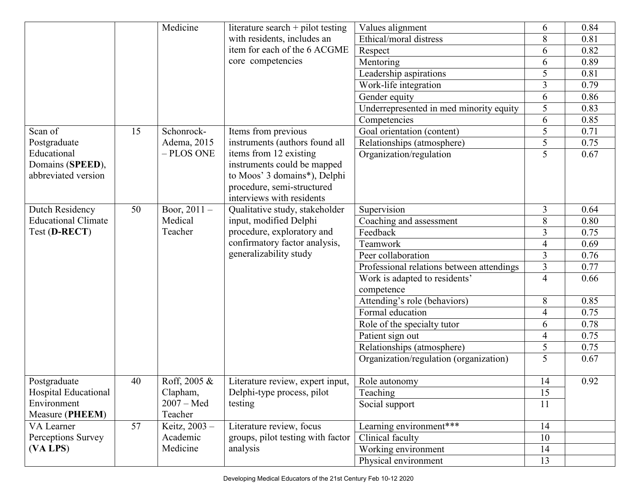|                            |    | Medicine       | literature search $+$ pilot testing                   | Values alignment                          | 6              | 0.84 |
|----------------------------|----|----------------|-------------------------------------------------------|-------------------------------------------|----------------|------|
|                            |    |                | Ethical/moral distress<br>with residents, includes an |                                           | 8              | 0.81 |
|                            |    |                | item for each of the 6 ACGME<br>Respect               |                                           | 6              | 0.82 |
|                            |    |                | core competencies<br>Mentoring                        |                                           | 6              | 0.89 |
|                            |    |                |                                                       | Leadership aspirations                    | 5              | 0.81 |
|                            |    |                |                                                       | Work-life integration                     | $\overline{3}$ | 0.79 |
|                            |    |                |                                                       | Gender equity                             | 6              | 0.86 |
|                            |    |                |                                                       | Underrepresented in med minority equity   | 5              | 0.83 |
|                            |    |                |                                                       | Competencies                              | 6              | 0.85 |
| Scan of                    | 15 | Schonrock-     | Items from previous                                   | Goal orientation (content)                | 5              | 0.71 |
| Postgraduate               |    | Adema, 2015    | instruments (authors found all                        | Relationships (atmosphere)                | 5              | 0.75 |
| Educational                |    | - PLOS ONE     | items from 12 existing                                | Organization/regulation                   | 5              | 0.67 |
| Domains (SPEED),           |    |                | instruments could be mapped                           |                                           |                |      |
| abbreviated version        |    |                | to Moos' 3 domains*), Delphi                          |                                           |                |      |
|                            |    |                | procedure, semi-structured                            |                                           |                |      |
|                            |    |                | interviews with residents                             |                                           |                |      |
| Dutch Residency            | 50 | Boor, $2011 -$ | Qualitative study, stakeholder                        | Supervision                               | $\overline{3}$ | 0.64 |
| <b>Educational Climate</b> |    | Medical        | input, modified Delphi                                | Coaching and assessment                   | 8              | 0.80 |
| Test (D-RECT)              |    | Teacher        | procedure, exploratory and                            | Feedback                                  | $\overline{3}$ | 0.75 |
|                            |    |                | confirmatory factor analysis,                         | Teamwork                                  | $\overline{4}$ | 0.69 |
|                            |    |                | generalizability study                                | Peer collaboration                        | 3              | 0.76 |
|                            |    |                |                                                       | Professional relations between attendings | $\overline{3}$ | 0.77 |
|                            |    |                |                                                       | Work is adapted to residents'             | $\overline{4}$ | 0.66 |
|                            |    |                |                                                       | competence                                |                |      |
|                            |    |                |                                                       | Attending's role (behaviors)              | 8              | 0.85 |
|                            |    |                |                                                       | Formal education                          | 4              | 0.75 |
|                            |    |                |                                                       | Role of the specialty tutor               | 6              | 0.78 |
|                            |    |                |                                                       | Patient sign out                          | $\overline{4}$ | 0.75 |
|                            |    |                |                                                       | Relationships (atmosphere)                | 5              | 0.75 |
|                            |    |                |                                                       | Organization/regulation (organization)    | 5              | 0.67 |
| Postgraduate               | 40 | Roff, 2005 &   | Literature review, expert input,                      | Role autonomy                             | 14             | 0.92 |
| Hospital Educational       |    | Clapham,       | Delphi-type process, pilot                            | Teaching                                  | 15             |      |
| Environment                |    | $2007 - Med$   | testing                                               | Social support                            | <sup>11</sup>  |      |
| Measure (PHEEM)            |    | Teacher        |                                                       |                                           |                |      |
| VA Learner                 | 57 | Keitz, 2003 -  | Literature review, focus                              | Learning environment***                   | 14             |      |
| Perceptions Survey         |    | Academic       | groups, pilot testing with factor                     | Clinical faculty                          | 10             |      |
| (VA LPS)                   |    | Medicine       | analysis                                              | Working environment                       | 14             |      |
|                            |    |                |                                                       | Physical environment                      | 13             |      |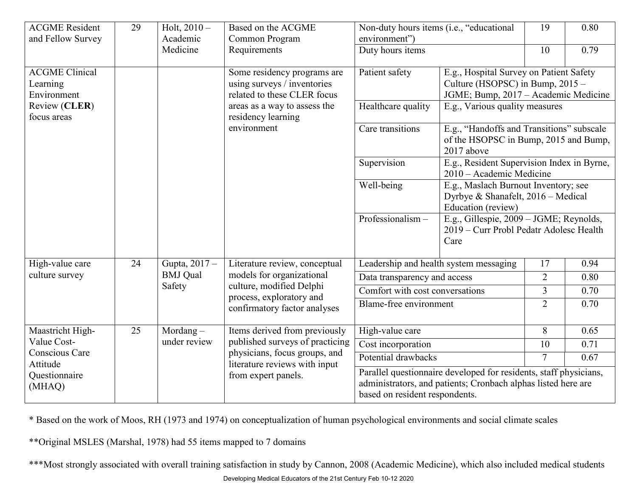| <b>ACGME Resident</b><br>and Fellow Survey                           | 29 | Holt, $2010 -$<br>Academic  | Based on the ACGME<br>Common Program                                                                                                                      | Non-duty hours items (i.e., "educational<br>19<br>environment") |                                                                                                                                                       | 0.80           |      |
|----------------------------------------------------------------------|----|-----------------------------|-----------------------------------------------------------------------------------------------------------------------------------------------------------|-----------------------------------------------------------------|-------------------------------------------------------------------------------------------------------------------------------------------------------|----------------|------|
|                                                                      |    | Medicine                    | Requirements                                                                                                                                              | Duty hours items                                                |                                                                                                                                                       | 10             | 0.79 |
| <b>ACGME Clinical</b><br>Learning<br>Environment<br>Review (CLER)    |    |                             | Some residency programs are<br>using surveys / inventories<br>related to these CLER focus<br>areas as a way to assess the                                 | Patient safety<br>Healthcare quality                            | E.g., Hospital Survey on Patient Safety<br>Culture (HSOPSC) in Bump, 2015 -<br>JGME; Bump, 2017 - Academic Medicine<br>E.g., Various quality measures |                |      |
| focus areas                                                          |    |                             | residency learning<br>environment                                                                                                                         | Care transitions                                                |                                                                                                                                                       |                |      |
|                                                                      |    |                             |                                                                                                                                                           |                                                                 | E.g., "Handoffs and Transitions" subscale<br>of the HSOPSC in Bump, 2015 and Bump,<br>2017 above                                                      |                |      |
|                                                                      |    |                             |                                                                                                                                                           | Supervision                                                     | E.g., Resident Supervision Index in Byrne,<br>2010 – Academic Medicine                                                                                |                |      |
|                                                                      |    |                             |                                                                                                                                                           | Well-being                                                      | E.g., Maslach Burnout Inventory; see<br>Dyrbye & Shanafelt, 2016 - Medical<br>Education (review)                                                      |                |      |
|                                                                      |    |                             |                                                                                                                                                           | Professionalism-                                                | E.g., Gillespie, 2009 - JGME; Reynolds,<br>2019 - Curr Probl Pedatr Adolesc Health<br>Care                                                            |                |      |
| High-value care                                                      | 24 | Gupta, 2017 -               | Literature review, conceptual                                                                                                                             |                                                                 | Leadership and health system messaging                                                                                                                | 17             | 0.94 |
| culture survey                                                       |    | <b>BMJ</b> Qual<br>Safety   | models for organizational<br>culture, modified Delphi<br>process, exploratory and<br>confirmatory factor analyses                                         | Data transparency and access                                    |                                                                                                                                                       | $\overline{2}$ | 0.80 |
|                                                                      |    |                             |                                                                                                                                                           | Comfort with cost conversations                                 |                                                                                                                                                       | 3              | 0.70 |
|                                                                      |    |                             |                                                                                                                                                           | Blame-free environment                                          |                                                                                                                                                       | $\overline{2}$ | 0.70 |
| Maastricht High-                                                     | 25 | Mordang $-$<br>under review | Items derived from previously<br>published surveys of practicing<br>physicians, focus groups, and<br>literature reviews with input<br>from expert panels. | High-value care                                                 |                                                                                                                                                       | 8              | 0.65 |
| Value Cost-<br>Conscious Care<br>Attitude<br>Questionnaire<br>(MHAQ) |    |                             |                                                                                                                                                           | Cost incorporation                                              |                                                                                                                                                       | 10             | 0.71 |
|                                                                      |    |                             |                                                                                                                                                           | Potential drawbacks<br>7<br>0.67                                |                                                                                                                                                       |                |      |
|                                                                      |    |                             |                                                                                                                                                           | based on resident respondents.                                  | Parallel questionnaire developed for residents, staff physicians,<br>administrators, and patients; Cronbach alphas listed here are                    |                |      |

\* Based on the work of Moos, RH (1973 and 1974) on conceptualization of human psychological environments and social climate scales

\*\*Original MSLES (Marshal, 1978) had 55 items mapped to 7 domains

\*\*\*Most strongly associated with overall training satisfaction in study by Cannon, 2008 (Academic Medicine), which also included medical students

Developing Medical Educators of the 21st Century Feb 10-12 2020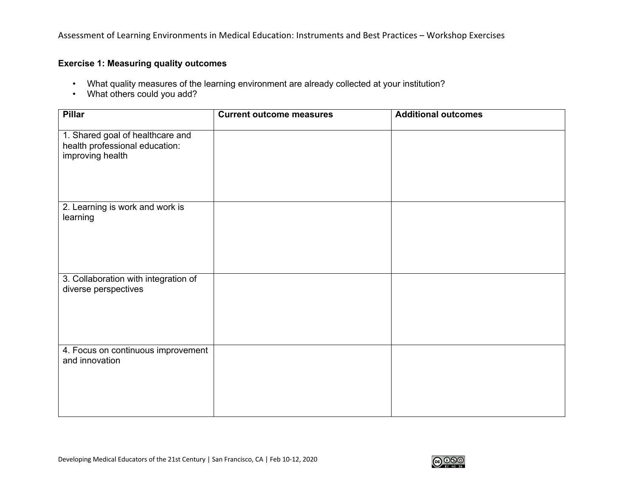Assessment of Learning Environments in Medical Education: Instruments and Best Practices – Workshop Exercises

## **Exercise 1: Measuring quality outcomes**

- What quality measures of the learning environment are already collected at your institution?
- What others could you add?

| <b>Pillar</b>                                                                          | <b>Current outcome measures</b> | <b>Additional outcomes</b> |
|----------------------------------------------------------------------------------------|---------------------------------|----------------------------|
| 1. Shared goal of healthcare and<br>health professional education:<br>improving health |                                 |                            |
| 2. Learning is work and work is<br>learning                                            |                                 |                            |
| 3. Collaboration with integration of<br>diverse perspectives                           |                                 |                            |
| 4. Focus on continuous improvement<br>and innovation                                   |                                 |                            |